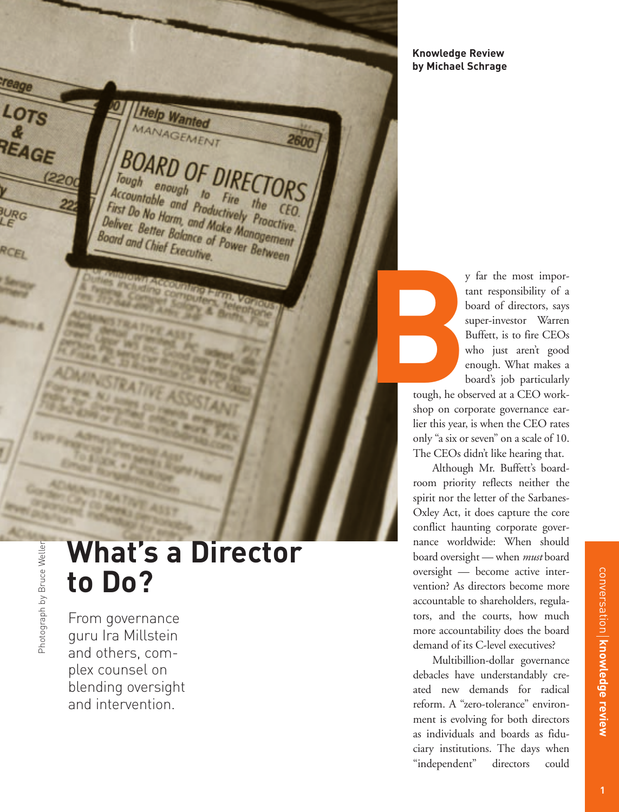

**What's a Director to Do?**

From governance guru Ira Millstein and others, complex counsel on blending oversight and intervention.

**TRATA CALL COMPANY** 

**Knowledge Review by Michael Schrage**

> y far the most important responsibility of a board of directors, says super-investor Warren Buffett, is to fire CEOs who just aren't good enough. What makes a board's job particularly

tough, he observed at a CEO workshop on corporate governance earlier this year, is when the CEO rates only "a six or seven" on a scale of 10. The CEOs didn't like hearing that.

Although Mr. Buffett's boardroom priority reflects neither the spirit nor the letter of the Sarbanes-Oxley Act, it does capture the core conflict haunting corporate governance worldwide: When should board oversight — when *must* board oversight — become active intervention? As directors become more accountable to shareholders, regulators, and the courts, how much more accountability does the board demand of its C-level executives?

Multibillion-dollar governance debacles have understandably created new demands for radical reform. A "zero-tolerance" environment is evolving for both directors as individuals and boards as fiduciary institutions. The days when "independent" directors could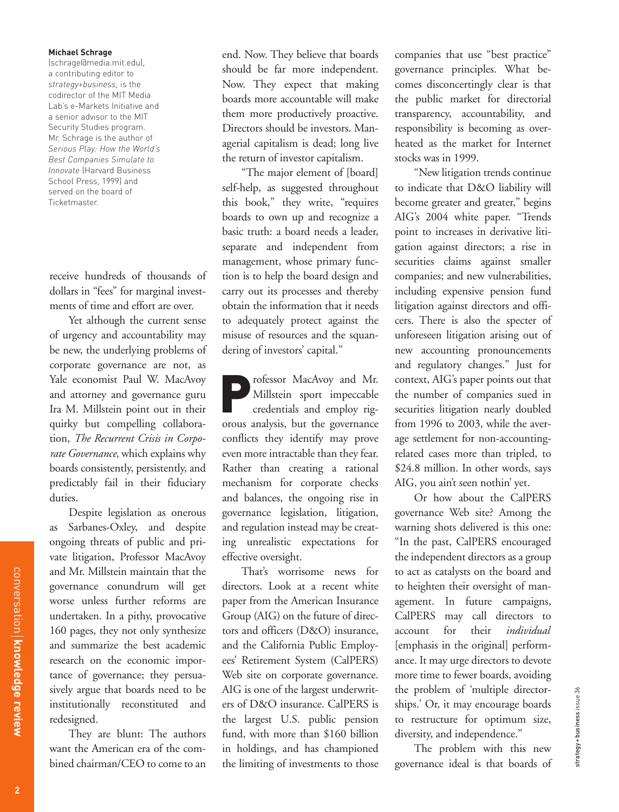## **Michael Schrage**

(schrage@media.mit.edu), a contributing editor to *strategy+business,* is the codirector of the MIT Media Lab's e-Markets Initiative and a senior advisor to the MIT Security Studies program. Mr. Schrage is the author of *Serious Play: How the World's Best Companies Simulate to Innovate* (Harvard Business School Press, 1999) and served on the board of Ticketmaster.

receive hundreds of thousands of dollars in "fees" for marginal investments of time and effort are over.

Yet although the current sense of urgency and accountability may be new, the underlying problems of corporate governance are not, as Yale economist Paul W. MacAvoy and attorney and governance guru Ira M. Millstein point out in their quirky but compelling collaboration, *The Recurrent Crisis in Corporate Governance*, which explains why boards consistently, persistently, and predictably fail in their fiduciary duties.

Despite legislation as onerous as Sarbanes-Oxley, and despite ongoing threats of public and private litigation, Professor MacAvoy and Mr. Millstein maintain that the governance conundrum will get worse unless further reforms are undertaken. In a pithy, provocative 160 pages, they not only synthesize and summarize the best academic research on the economic importance of governance; they persuasively argue that boards need to be institutionally reconstituted and redesigned.

They are blunt: The authors want the American era of the combined chairman/CEO to come to an end. Now. They believe that boards should be far more independent. Now. They expect that making boards more accountable will make them more productively proactive. Directors should be investors. Managerial capitalism is dead; long live the return of investor capitalism.

"The major element of [board] self-help, as suggested throughout this book," they write, "requires boards to own up and recognize a basic truth: a board needs a leader, separate and independent from management, whose primary function is to help the board design and carry out its processes and thereby obtain the information that it needs to adequately protect against the misuse of resources and the squandering of investors' capital."

Professor MacAvoy and Mr.<br>Millstein sport impeccable<br>credentials and employ rig-Millstein sport impeccable credentials and employ rigorous analysis, but the governance conflicts they identify may prove even more intractable than they fear. Rather than creating a rational mechanism for corporate checks and balances, the ongoing rise in governance legislation, litigation, and regulation instead may be creating unrealistic expectations for effective oversight.

That's worrisome news for directors. Look at a recent white paper from the American Insurance Group (AIG) on the future of directors and officers (D&O) insurance, and the California Public Employees' Retirement System (CalPERS) Web site on corporate governance. AIG is one of the largest underwriters of D&O insurance. CalPERS is the largest U.S. public pension fund, with more than \$160 billion in holdings, and has championed the limiting of investments to those

companies that use "best practice" governance principles. What becomes disconcertingly clear is that the public market for directorial transparency, accountability, and responsibility is becoming as overheated as the market for Internet stocks was in 1999.

"New litigation trends continue to indicate that D&O liability will become greater and greater," begins AIG's 2004 white paper. "Trends point to increases in derivative litigation against directors; a rise in securities claims against smaller companies; and new vulnerabilities, including expensive pension fund litigation against directors and officers. There is also the specter of unforeseen litigation arising out of new accounting pronouncements and regulatory changes." Just for context, AIG's paper points out that the number of companies sued in securities litigation nearly doubled from 1996 to 2003, while the average settlement for non-accountingrelated cases more than tripled, to \$24.8 million. In other words, says AIG, you ain't seen nothin' yet.

Or how about the CalPERS governance Web site? Among the warning shots delivered is this one: "In the past, CalPERS encouraged the independent directors as a group to act as catalysts on the board and to heighten their oversight of management. In future campaigns, CalPERS may call directors to account for their *individual* [emphasis in the original] performance. It may urge directors to devote more time to fewer boards, avoiding the problem of 'multiple directorships.' Or, it may encourage boards to restructure for optimum size, diversity, and independence."

The problem with this new governance ideal is that boards of strategy + business issue 36

strategy+business issue 36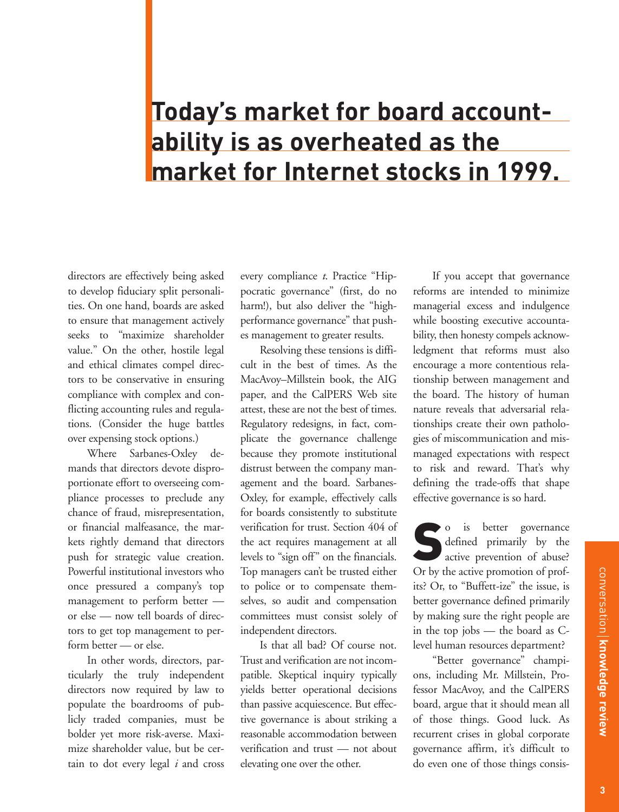## **Today's market for board accountability is as overheated as the market for Internet stocks in 1999.**

directors are effectively being asked to develop fiduciary split personalities. On one hand, boards are asked to ensure that management actively seeks to "maximize shareholder value." On the other, hostile legal and ethical climates compel directors to be conservative in ensuring compliance with complex and conflicting accounting rules and regulations. (Consider the huge battles over expensing stock options.)

Where Sarbanes-Oxley demands that directors devote disproportionate effort to overseeing compliance processes to preclude any chance of fraud, misrepresentation, or financial malfeasance, the markets rightly demand that directors push for strategic value creation. Powerful institutional investors who once pressured a company's top management to perform better or else — now tell boards of directors to get top management to perform better — or else.

In other words, directors, particularly the truly independent directors now required by law to populate the boardrooms of publicly traded companies, must be bolder yet more risk-averse. Maximize shareholder value, but be certain to dot every legal *i* and cross

every compliance *t*. Practice "Hippocratic governance" (first, do no harm!), but also deliver the "highperformance governance" that pushes management to greater results.

Resolving these tensions is difficult in the best of times. As the MacAvoy–Millstein book, the AIG paper, and the CalPERS Web site attest, these are not the best of times. Regulatory redesigns, in fact, complicate the governance challenge because they promote institutional distrust between the company management and the board. Sarbanes-Oxley, for example, effectively calls for boards consistently to substitute verification for trust. Section 404 of the act requires management at all levels to "sign off" on the financials. Top managers can't be trusted either to police or to compensate themselves, so audit and compensation committees must consist solely of independent directors.

Is that all bad? Of course not. Trust and verification are not incompatible. Skeptical inquiry typically yields better operational decisions than passive acquiescence. But effective governance is about striking a reasonable accommodation between verification and trust — not about elevating one over the other.

If you accept that governance reforms are intended to minimize managerial excess and indulgence while boosting executive accountability, then honesty compels acknowledgment that reforms must also encourage a more contentious relationship between management and the board. The history of human nature reveals that adversarial relationships create their own pathologies of miscommunication and mismanaged expectations with respect to risk and reward. That's why defining the trade-offs that shape effective governance is so hard.

So is better governance<br>defined primarily by the<br>active prevention of abuse? defined primarily by the active prevention of abuse? Or by the active promotion of profits? Or, to "Buffett-ize" the issue, is better governance defined primarily by making sure the right people are in the top jobs — the board as Clevel human resources department?

"Better governance" champions, including Mr. Millstein, Professor MacAvoy, and the CalPERS board, argue that it should mean all of those things. Good luck. As recurrent crises in global corporate governance affirm, it's difficult to do even one of those things consis-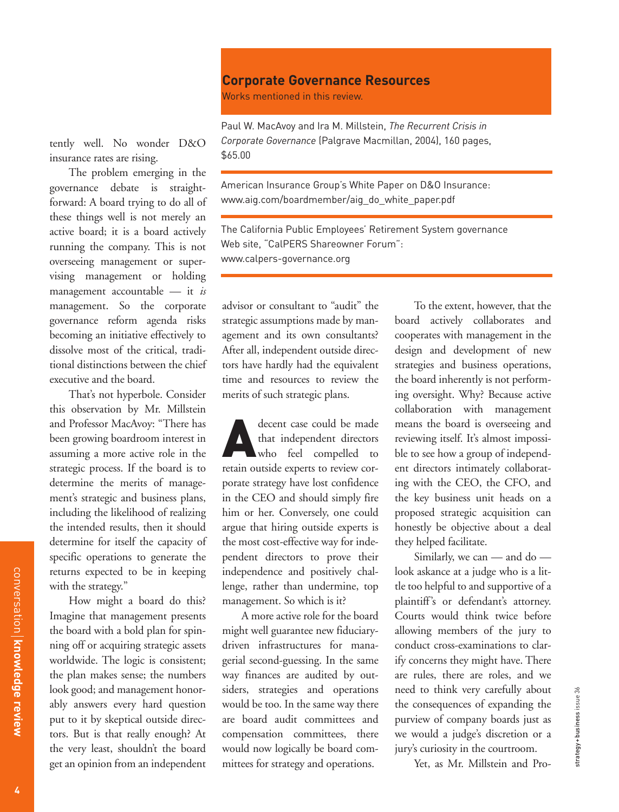## **Corporate Governance Resources**

Works mentioned in this review.

tently well. No wonder D&O insurance rates are rising.

The problem emerging in the governance debate is straightforward: A board trying to do all of these things well is not merely an active board; it is a board actively running the company. This is not overseeing management or supervising management or holding management accountable — it *is* management. So the corporate governance reform agenda risks becoming an initiative effectively to dissolve most of the critical, traditional distinctions between the chief executive and the board.

That's not hyperbole. Consider this observation by Mr. Millstein and Professor MacAvoy: "There has been growing boardroom interest in assuming a more active role in the strategic process. If the board is to determine the merits of management's strategic and business plans, including the likelihood of realizing the intended results, then it should determine for itself the capacity of specific operations to generate the returns expected to be in keeping with the strategy."

How might a board do this? Imagine that management presents the board with a bold plan for spinning off or acquiring strategic assets worldwide. The logic is consistent; the plan makes sense; the numbers look good; and management honorably answers every hard question put to it by skeptical outside directors. But is that really enough? At the very least, shouldn't the board get an opinion from an independent

Paul W. MacAvoy and Ira M. Millstein, *The Recurrent Crisis in Corporate Governance* (Palgrave Macmillan, 2004), 160 pages, \$65.00

American Insurance Group's White Paper on D&O Insurance: www.aig.com/boardmember/aig\_do\_white\_paper.pdf

The California Public Employees' Retirement System governance Web site, "CalPERS Shareowner Forum": www.calpers-governance.org

advisor or consultant to "audit" the strategic assumptions made by management and its own consultants? After all, independent outside directors have hardly had the equivalent time and resources to review the merits of such strategic plans.

decent case could be made<br>that independent directors<br>who feel compelled to that independent directors who feel compelled to retain outside experts to review corporate strategy have lost confidence in the CEO and should simply fire him or her. Conversely, one could argue that hiring outside experts is the most cost-effective way for independent directors to prove their independence and positively challenge, rather than undermine, top management. So which is it?

A more active role for the board might well guarantee new fiduciarydriven infrastructures for managerial second-guessing. In the same way finances are audited by outsiders, strategies and operations would be too. In the same way there are board audit committees and compensation committees, there would now logically be board committees for strategy and operations.

To the extent, however, that the board actively collaborates and cooperates with management in the design and development of new strategies and business operations, the board inherently is not performing oversight. Why? Because active collaboration with management means the board is overseeing and reviewing itself. It's almost impossible to see how a group of independent directors intimately collaborating with the CEO, the CFO, and the key business unit heads on a proposed strategic acquisition can honestly be objective about a deal they helped facilitate.

Similarly, we can — and do look askance at a judge who is a little too helpful to and supportive of a plaintiff's or defendant's attorney. Courts would think twice before allowing members of the jury to conduct cross-examinations to clarify concerns they might have. There are rules, there are roles, and we need to think very carefully about the consequences of expanding the purview of company boards just as we would a judge's discretion or a jury's curiosity in the courtroom.

Yet, as Mr. Millstein and Pro-

conversation

**knowledge review**

conversation | knowledge review